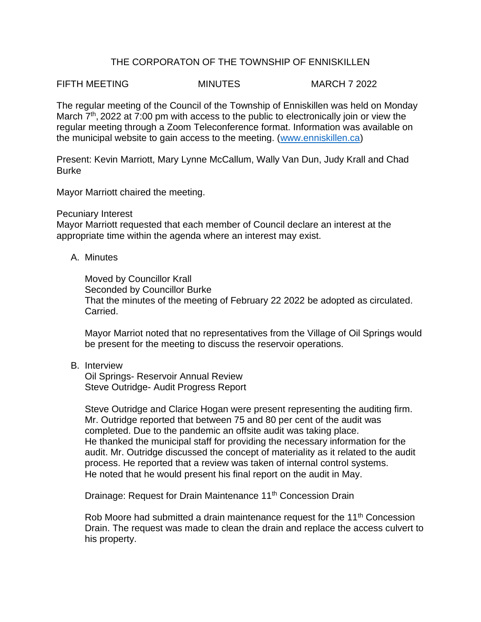## THE CORPORATON OF THE TOWNSHIP OF ENNISKILLEN

FIFTH MEETING MINUTES MARCH 7 2022

The regular meeting of the Council of the Township of Enniskillen was held on Monday March 7<sup>th</sup>, 2022 at 7:00 pm with access to the public to electronically join or view the regular meeting through a Zoom Teleconference format. Information was available on the municipal website to gain access to the meeting. [\(www.enniskillen.ca\)](http://www.enniskillen.ca/)

Present: Kevin Marriott, Mary Lynne McCallum, Wally Van Dun, Judy Krall and Chad Burke

Mayor Marriott chaired the meeting.

## Pecuniary Interest

Mayor Marriott requested that each member of Council declare an interest at the appropriate time within the agenda where an interest may exist.

A. Minutes

Moved by Councillor Krall Seconded by Councillor Burke That the minutes of the meeting of February 22 2022 be adopted as circulated. Carried.

Mayor Marriot noted that no representatives from the Village of Oil Springs would be present for the meeting to discuss the reservoir operations.

B. Interview

Oil Springs- Reservoir Annual Review Steve Outridge- Audit Progress Report

Steve Outridge and Clarice Hogan were present representing the auditing firm. Mr. Outridge reported that between 75 and 80 per cent of the audit was completed. Due to the pandemic an offsite audit was taking place. He thanked the municipal staff for providing the necessary information for the audit. Mr. Outridge discussed the concept of materiality as it related to the audit process. He reported that a review was taken of internal control systems. He noted that he would present his final report on the audit in May.

Drainage: Request for Drain Maintenance 11<sup>th</sup> Concession Drain

Rob Moore had submitted a drain maintenance request for the  $11<sup>th</sup>$  Concession Drain. The request was made to clean the drain and replace the access culvert to his property.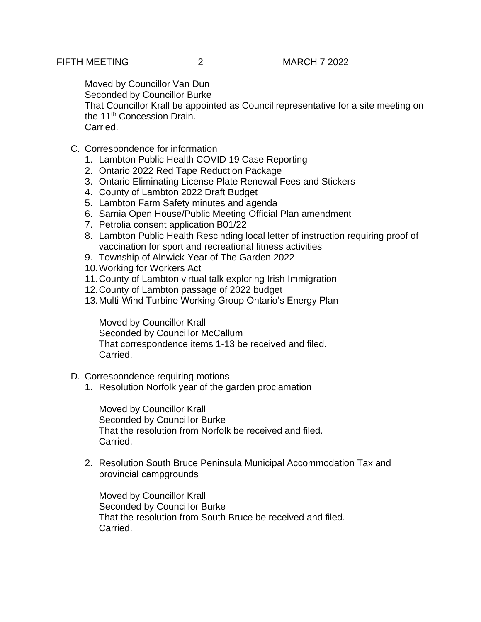Moved by Councillor Van Dun

Seconded by Councillor Burke

That Councillor Krall be appointed as Council representative for a site meeting on the 11<sup>th</sup> Concession Drain. Carried.

- C. Correspondence for information
	- 1. Lambton Public Health COVID 19 Case Reporting
	- 2. Ontario 2022 Red Tape Reduction Package
	- 3. Ontario Eliminating License Plate Renewal Fees and Stickers
	- 4. County of Lambton 2022 Draft Budget
	- 5. Lambton Farm Safety minutes and agenda
	- 6. Sarnia Open House/Public Meeting Official Plan amendment
	- 7. Petrolia consent application B01/22
	- 8. Lambton Public Health Rescinding local letter of instruction requiring proof of vaccination for sport and recreational fitness activities
	- 9. Township of Alnwick-Year of The Garden 2022
	- 10.Working for Workers Act
	- 11.County of Lambton virtual talk exploring Irish Immigration
	- 12.County of Lambton passage of 2022 budget
	- 13.Multi-Wind Turbine Working Group Ontario's Energy Plan

Moved by Councillor Krall Seconded by Councillor McCallum That correspondence items 1-13 be received and filed. Carried.

- D. Correspondence requiring motions
	- 1. Resolution Norfolk year of the garden proclamation

Moved by Councillor Krall Seconded by Councillor Burke That the resolution from Norfolk be received and filed. Carried.

2. Resolution South Bruce Peninsula Municipal Accommodation Tax and provincial campgrounds

Moved by Councillor Krall Seconded by Councillor Burke That the resolution from South Bruce be received and filed. Carried.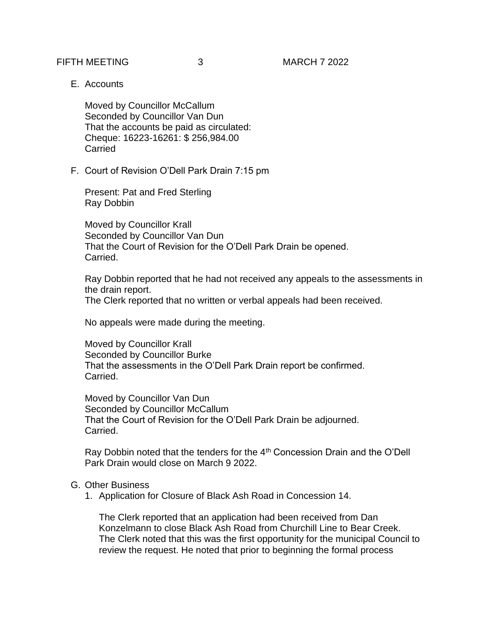FIFTH MEETING 3 MARCH 7 2022

E. Accounts

Moved by Councillor McCallum Seconded by Councillor Van Dun That the accounts be paid as circulated: Cheque: 16223-16261: \$ 256,984.00 **Carried** 

F. Court of Revision O'Dell Park Drain 7:15 pm

Present: Pat and Fred Sterling Ray Dobbin

Moved by Councillor Krall Seconded by Councillor Van Dun That the Court of Revision for the O'Dell Park Drain be opened. Carried.

Ray Dobbin reported that he had not received any appeals to the assessments in the drain report. The Clerk reported that no written or verbal appeals had been received.

No appeals were made during the meeting.

Moved by Councillor Krall Seconded by Councillor Burke That the assessments in the O'Dell Park Drain report be confirmed. Carried.

Moved by Councillor Van Dun Seconded by Councillor McCallum That the Court of Revision for the O'Dell Park Drain be adjourned. Carried.

Ray Dobbin noted that the tenders for the 4<sup>th</sup> Concession Drain and the O'Dell Park Drain would close on March 9 2022.

## G. Other Business

1. Application for Closure of Black Ash Road in Concession 14.

The Clerk reported that an application had been received from Dan Konzelmann to close Black Ash Road from Churchill Line to Bear Creek. The Clerk noted that this was the first opportunity for the municipal Council to review the request. He noted that prior to beginning the formal process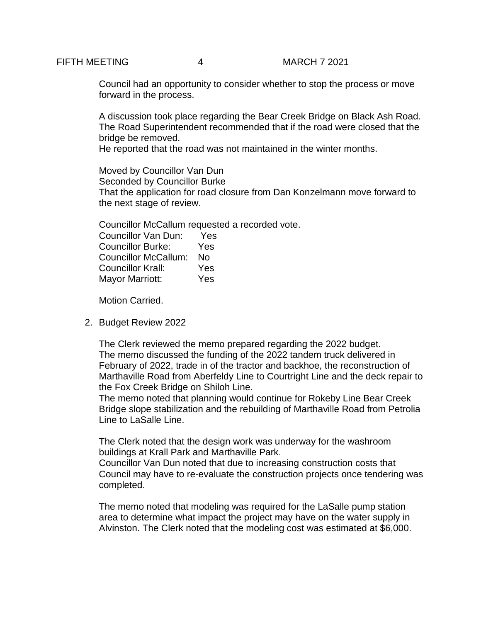Council had an opportunity to consider whether to stop the process or move forward in the process.

A discussion took place regarding the Bear Creek Bridge on Black Ash Road. The Road Superintendent recommended that if the road were closed that the bridge be removed.

He reported that the road was not maintained in the winter months.

Moved by Councillor Van Dun Seconded by Councillor Burke That the application for road closure from Dan Konzelmann move forward to the next stage of review.

Councillor McCallum requested a recorded vote.

| <b>Councillor Van Dun:</b>  | Yes |
|-----------------------------|-----|
| <b>Councillor Burke:</b>    | Yes |
| <b>Councillor McCallum:</b> | N٥  |
| <b>Councillor Krall:</b>    | Yes |
| <b>Mayor Marriott:</b>      | Yes |

Motion Carried.

2. Budget Review 2022

The Clerk reviewed the memo prepared regarding the 2022 budget. The memo discussed the funding of the 2022 tandem truck delivered in February of 2022, trade in of the tractor and backhoe, the reconstruction of Marthaville Road from Aberfeldy Line to Courtright Line and the deck repair to the Fox Creek Bridge on Shiloh Line.

The memo noted that planning would continue for Rokeby Line Bear Creek Bridge slope stabilization and the rebuilding of Marthaville Road from Petrolia Line to LaSalle Line.

The Clerk noted that the design work was underway for the washroom buildings at Krall Park and Marthaville Park.

Councillor Van Dun noted that due to increasing construction costs that Council may have to re-evaluate the construction projects once tendering was completed.

The memo noted that modeling was required for the LaSalle pump station area to determine what impact the project may have on the water supply in Alvinston. The Clerk noted that the modeling cost was estimated at \$6,000.